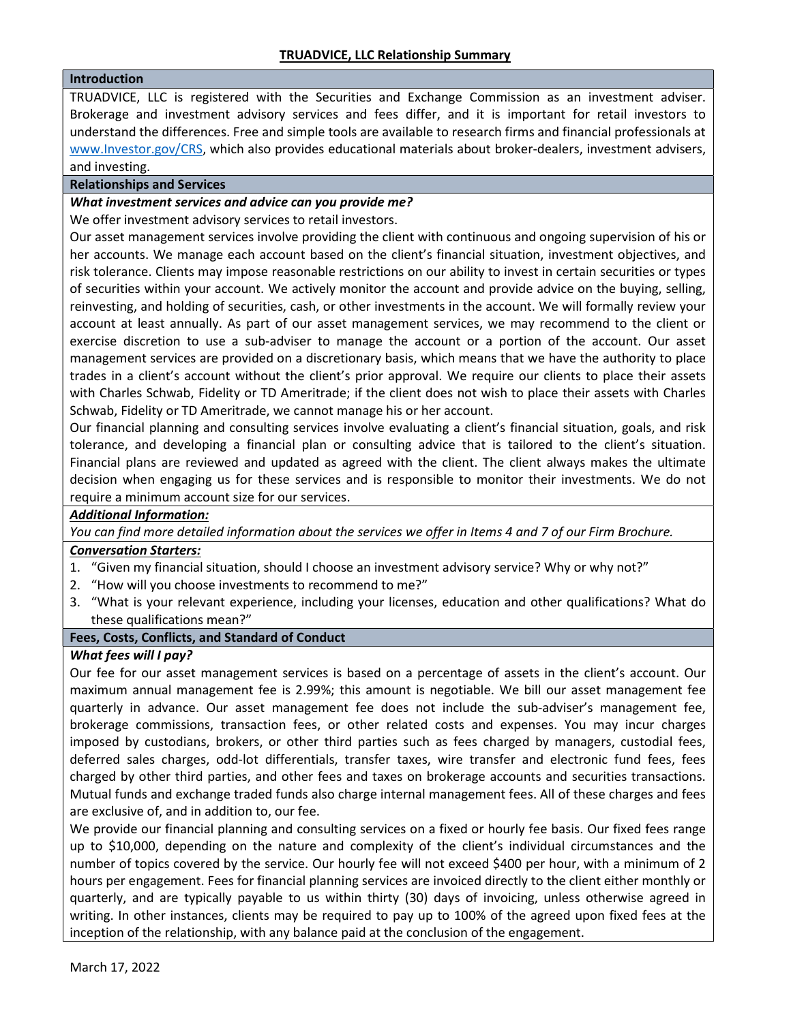## Introduction

TRUADVICE, LLC is registered with the Securities and Exchange Commission as an investment adviser. Brokerage and investment advisory services and fees differ, and it is important for retail investors to understand the differences. Free and simple tools are available to research firms and financial professionals at www.Investor.gov/CRS, which also provides educational materials about broker-dealers, investment advisers, and investing.

## Relationships and Services

## What investment services and advice can you provide me?

We offer investment advisory services to retail investors.

Our asset management services involve providing the client with continuous and ongoing supervision of his or her accounts. We manage each account based on the client's financial situation, investment objectives, and risk tolerance. Clients may impose reasonable restrictions on our ability to invest in certain securities or types of securities within your account. We actively monitor the account and provide advice on the buying, selling, reinvesting, and holding of securities, cash, or other investments in the account. We will formally review your account at least annually. As part of our asset management services, we may recommend to the client or exercise discretion to use a sub-adviser to manage the account or a portion of the account. Our asset management services are provided on a discretionary basis, which means that we have the authority to place trades in a client's account without the client's prior approval. We require our clients to place their assets with Charles Schwab, Fidelity or TD Ameritrade; if the client does not wish to place their assets with Charles Schwab, Fidelity or TD Ameritrade, we cannot manage his or her account.

Our financial planning and consulting services involve evaluating a client's financial situation, goals, and risk tolerance, and developing a financial plan or consulting advice that is tailored to the client's situation. Financial plans are reviewed and updated as agreed with the client. The client always makes the ultimate decision when engaging us for these services and is responsible to monitor their investments. We do not require a minimum account size for our services.

# Additional Information:

You can find more detailed information about the services we offer in Items 4 and 7 of our Firm Brochure.

### Conversation Starters:

- 1. "Given my financial situation, should I choose an investment advisory service? Why or why not?"
- 2. "How will you choose investments to recommend to me?"
- 3. "What is your relevant experience, including your licenses, education and other qualifications? What do these qualifications mean?"

# Fees, Costs, Conflicts, and Standard of Conduct

### What fees will I pay?

Our fee for our asset management services is based on a percentage of assets in the client's account. Our maximum annual management fee is 2.99%; this amount is negotiable. We bill our asset management fee quarterly in advance. Our asset management fee does not include the sub-adviser's management fee, brokerage commissions, transaction fees, or other related costs and expenses. You may incur charges imposed by custodians, brokers, or other third parties such as fees charged by managers, custodial fees, deferred sales charges, odd-lot differentials, transfer taxes, wire transfer and electronic fund fees, fees charged by other third parties, and other fees and taxes on brokerage accounts and securities transactions. Mutual funds and exchange traded funds also charge internal management fees. All of these charges and fees are exclusive of, and in addition to, our fee.

We provide our financial planning and consulting services on a fixed or hourly fee basis. Our fixed fees range up to \$10,000, depending on the nature and complexity of the client's individual circumstances and the number of topics covered by the service. Our hourly fee will not exceed \$400 per hour, with a minimum of 2 hours per engagement. Fees for financial planning services are invoiced directly to the client either monthly or quarterly, and are typically payable to us within thirty (30) days of invoicing, unless otherwise agreed in writing. In other instances, clients may be required to pay up to 100% of the agreed upon fixed fees at the inception of the relationship, with any balance paid at the conclusion of the engagement.